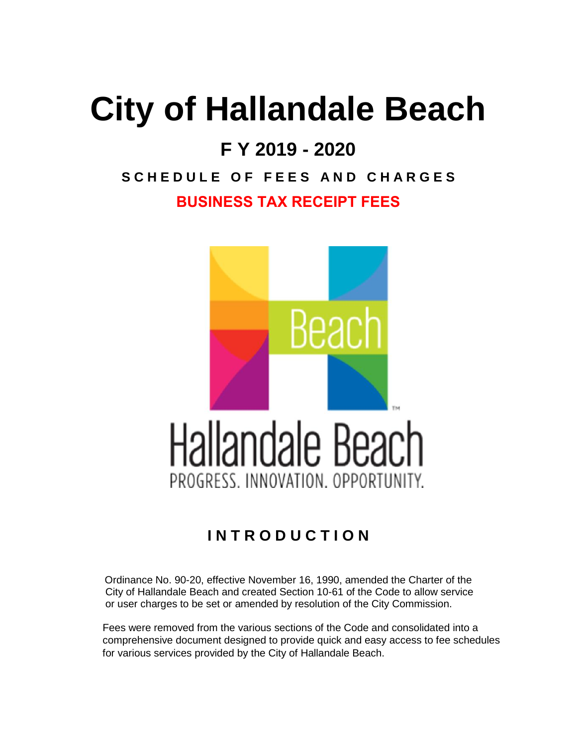## **City of Hallandale Beach**

## **F Y 2019 - 2020**

## **S C H E D U L E O F F E E S A N D C H A R G E S BUSINESS TAX RECEIPT FEES**



## **I N T R O D U C T I O N**

Ordinance No. 90-20, effective November 16, 1990, amended the Charter of the City of Hallandale Beach and created Section 10-61 of the Code to allow service or user charges to be set or amended by resolution of the City Commission.

 Fees were removed from the various sections of the Code and consolidated into a comprehensive document designed to provide quick and easy access to fee schedules for various services provided by the City of Hallandale Beach.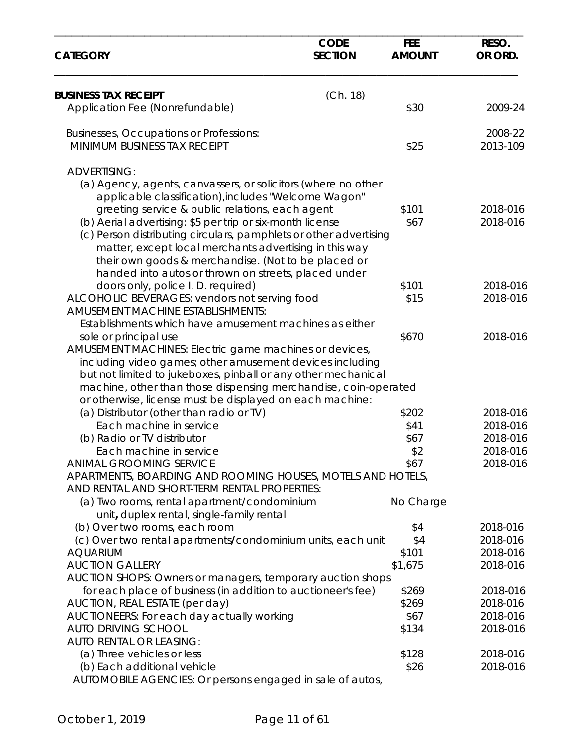| <b>SECTION</b><br><b>AMOUNT</b><br><b>CATEGORY</b><br>(Ch. 18)<br><b>BUSINESS TAX RECEIPT</b><br>\$30<br>Application Fee (Nonrefundable)<br>Businesses, Occupations or Professions:<br>MINIMUM BUSINESS TAX RECEIPT<br>\$25<br><b>ADVERTISING:</b><br>(a) Agency, agents, canvassers, or solicitors (where no other<br>applicable classification), includes "Welcome Wagon"<br>greeting service & public relations, each agent<br>\$101<br>2018-016<br>(b) Aerial advertising: \$5 per trip or six-month license<br>2018-016<br>\$67<br>(c) Person distributing circulars, pamphlets or other advertising<br>matter, except local merchants advertising in this way<br>their own goods & merchandise. (Not to be placed or<br>handed into autos or thrown on streets, placed under<br>doors only, police I. D. required)<br>\$101<br>ALCOHOLIC BEVERAGES: vendors not serving food<br>\$15<br><b>AMUSEMENT MACHINE ESTABLISHMENTS:</b><br>Establishments which have amusement machines as either<br>\$670<br>sole or principal use<br>AMUSEMENT MACHINES: Electric game machines or devices,<br>including video games; other amusement devices including<br>but not limited to jukeboxes, pinball or any other mechanical<br>machine, other than those dispensing merchandise, coin-operated<br>or otherwise, license must be displayed on each machine:<br>(a) Distributor (other than radio or TV)<br>\$202<br>2018-016<br>Each machine in service<br>2018-016<br>\$41<br>2018-016<br>(b) Radio or TV distributor<br>\$67<br>\$2<br>2018-016<br>Each machine in service<br><b>ANIMAL GROOMING SERVICE</b><br>2018-016<br>\$67<br>APARTMENTS, BOARDING AND ROOMING HOUSES, MOTELS AND HOTELS,<br>AND RENTAL AND SHORT-TERM RENTAL PROPERTIES:<br>(a) Two rooms, rental apartment/condominium<br>No Charge<br>unit, duplex-rental, single-family rental |  | OR ORD.<br>2009-24<br>2008-22<br>2013-109 |
|---------------------------------------------------------------------------------------------------------------------------------------------------------------------------------------------------------------------------------------------------------------------------------------------------------------------------------------------------------------------------------------------------------------------------------------------------------------------------------------------------------------------------------------------------------------------------------------------------------------------------------------------------------------------------------------------------------------------------------------------------------------------------------------------------------------------------------------------------------------------------------------------------------------------------------------------------------------------------------------------------------------------------------------------------------------------------------------------------------------------------------------------------------------------------------------------------------------------------------------------------------------------------------------------------------------------------------------------------------------------------------------------------------------------------------------------------------------------------------------------------------------------------------------------------------------------------------------------------------------------------------------------------------------------------------------------------------------------------------------------------------------------------------------------------------------------------------------------------------|--|-------------------------------------------|
|                                                                                                                                                                                                                                                                                                                                                                                                                                                                                                                                                                                                                                                                                                                                                                                                                                                                                                                                                                                                                                                                                                                                                                                                                                                                                                                                                                                                                                                                                                                                                                                                                                                                                                                                                                                                                                                         |  |                                           |
|                                                                                                                                                                                                                                                                                                                                                                                                                                                                                                                                                                                                                                                                                                                                                                                                                                                                                                                                                                                                                                                                                                                                                                                                                                                                                                                                                                                                                                                                                                                                                                                                                                                                                                                                                                                                                                                         |  |                                           |
|                                                                                                                                                                                                                                                                                                                                                                                                                                                                                                                                                                                                                                                                                                                                                                                                                                                                                                                                                                                                                                                                                                                                                                                                                                                                                                                                                                                                                                                                                                                                                                                                                                                                                                                                                                                                                                                         |  |                                           |
|                                                                                                                                                                                                                                                                                                                                                                                                                                                                                                                                                                                                                                                                                                                                                                                                                                                                                                                                                                                                                                                                                                                                                                                                                                                                                                                                                                                                                                                                                                                                                                                                                                                                                                                                                                                                                                                         |  |                                           |
|                                                                                                                                                                                                                                                                                                                                                                                                                                                                                                                                                                                                                                                                                                                                                                                                                                                                                                                                                                                                                                                                                                                                                                                                                                                                                                                                                                                                                                                                                                                                                                                                                                                                                                                                                                                                                                                         |  |                                           |
|                                                                                                                                                                                                                                                                                                                                                                                                                                                                                                                                                                                                                                                                                                                                                                                                                                                                                                                                                                                                                                                                                                                                                                                                                                                                                                                                                                                                                                                                                                                                                                                                                                                                                                                                                                                                                                                         |  |                                           |
|                                                                                                                                                                                                                                                                                                                                                                                                                                                                                                                                                                                                                                                                                                                                                                                                                                                                                                                                                                                                                                                                                                                                                                                                                                                                                                                                                                                                                                                                                                                                                                                                                                                                                                                                                                                                                                                         |  |                                           |
|                                                                                                                                                                                                                                                                                                                                                                                                                                                                                                                                                                                                                                                                                                                                                                                                                                                                                                                                                                                                                                                                                                                                                                                                                                                                                                                                                                                                                                                                                                                                                                                                                                                                                                                                                                                                                                                         |  |                                           |
|                                                                                                                                                                                                                                                                                                                                                                                                                                                                                                                                                                                                                                                                                                                                                                                                                                                                                                                                                                                                                                                                                                                                                                                                                                                                                                                                                                                                                                                                                                                                                                                                                                                                                                                                                                                                                                                         |  |                                           |
|                                                                                                                                                                                                                                                                                                                                                                                                                                                                                                                                                                                                                                                                                                                                                                                                                                                                                                                                                                                                                                                                                                                                                                                                                                                                                                                                                                                                                                                                                                                                                                                                                                                                                                                                                                                                                                                         |  |                                           |
|                                                                                                                                                                                                                                                                                                                                                                                                                                                                                                                                                                                                                                                                                                                                                                                                                                                                                                                                                                                                                                                                                                                                                                                                                                                                                                                                                                                                                                                                                                                                                                                                                                                                                                                                                                                                                                                         |  |                                           |
|                                                                                                                                                                                                                                                                                                                                                                                                                                                                                                                                                                                                                                                                                                                                                                                                                                                                                                                                                                                                                                                                                                                                                                                                                                                                                                                                                                                                                                                                                                                                                                                                                                                                                                                                                                                                                                                         |  |                                           |
|                                                                                                                                                                                                                                                                                                                                                                                                                                                                                                                                                                                                                                                                                                                                                                                                                                                                                                                                                                                                                                                                                                                                                                                                                                                                                                                                                                                                                                                                                                                                                                                                                                                                                                                                                                                                                                                         |  |                                           |
|                                                                                                                                                                                                                                                                                                                                                                                                                                                                                                                                                                                                                                                                                                                                                                                                                                                                                                                                                                                                                                                                                                                                                                                                                                                                                                                                                                                                                                                                                                                                                                                                                                                                                                                                                                                                                                                         |  |                                           |
|                                                                                                                                                                                                                                                                                                                                                                                                                                                                                                                                                                                                                                                                                                                                                                                                                                                                                                                                                                                                                                                                                                                                                                                                                                                                                                                                                                                                                                                                                                                                                                                                                                                                                                                                                                                                                                                         |  | 2018-016                                  |
|                                                                                                                                                                                                                                                                                                                                                                                                                                                                                                                                                                                                                                                                                                                                                                                                                                                                                                                                                                                                                                                                                                                                                                                                                                                                                                                                                                                                                                                                                                                                                                                                                                                                                                                                                                                                                                                         |  | 2018-016                                  |
|                                                                                                                                                                                                                                                                                                                                                                                                                                                                                                                                                                                                                                                                                                                                                                                                                                                                                                                                                                                                                                                                                                                                                                                                                                                                                                                                                                                                                                                                                                                                                                                                                                                                                                                                                                                                                                                         |  |                                           |
|                                                                                                                                                                                                                                                                                                                                                                                                                                                                                                                                                                                                                                                                                                                                                                                                                                                                                                                                                                                                                                                                                                                                                                                                                                                                                                                                                                                                                                                                                                                                                                                                                                                                                                                                                                                                                                                         |  |                                           |
|                                                                                                                                                                                                                                                                                                                                                                                                                                                                                                                                                                                                                                                                                                                                                                                                                                                                                                                                                                                                                                                                                                                                                                                                                                                                                                                                                                                                                                                                                                                                                                                                                                                                                                                                                                                                                                                         |  | 2018-016                                  |
|                                                                                                                                                                                                                                                                                                                                                                                                                                                                                                                                                                                                                                                                                                                                                                                                                                                                                                                                                                                                                                                                                                                                                                                                                                                                                                                                                                                                                                                                                                                                                                                                                                                                                                                                                                                                                                                         |  |                                           |
|                                                                                                                                                                                                                                                                                                                                                                                                                                                                                                                                                                                                                                                                                                                                                                                                                                                                                                                                                                                                                                                                                                                                                                                                                                                                                                                                                                                                                                                                                                                                                                                                                                                                                                                                                                                                                                                         |  |                                           |
|                                                                                                                                                                                                                                                                                                                                                                                                                                                                                                                                                                                                                                                                                                                                                                                                                                                                                                                                                                                                                                                                                                                                                                                                                                                                                                                                                                                                                                                                                                                                                                                                                                                                                                                                                                                                                                                         |  |                                           |
|                                                                                                                                                                                                                                                                                                                                                                                                                                                                                                                                                                                                                                                                                                                                                                                                                                                                                                                                                                                                                                                                                                                                                                                                                                                                                                                                                                                                                                                                                                                                                                                                                                                                                                                                                                                                                                                         |  |                                           |
|                                                                                                                                                                                                                                                                                                                                                                                                                                                                                                                                                                                                                                                                                                                                                                                                                                                                                                                                                                                                                                                                                                                                                                                                                                                                                                                                                                                                                                                                                                                                                                                                                                                                                                                                                                                                                                                         |  |                                           |
|                                                                                                                                                                                                                                                                                                                                                                                                                                                                                                                                                                                                                                                                                                                                                                                                                                                                                                                                                                                                                                                                                                                                                                                                                                                                                                                                                                                                                                                                                                                                                                                                                                                                                                                                                                                                                                                         |  |                                           |
|                                                                                                                                                                                                                                                                                                                                                                                                                                                                                                                                                                                                                                                                                                                                                                                                                                                                                                                                                                                                                                                                                                                                                                                                                                                                                                                                                                                                                                                                                                                                                                                                                                                                                                                                                                                                                                                         |  |                                           |
|                                                                                                                                                                                                                                                                                                                                                                                                                                                                                                                                                                                                                                                                                                                                                                                                                                                                                                                                                                                                                                                                                                                                                                                                                                                                                                                                                                                                                                                                                                                                                                                                                                                                                                                                                                                                                                                         |  |                                           |
|                                                                                                                                                                                                                                                                                                                                                                                                                                                                                                                                                                                                                                                                                                                                                                                                                                                                                                                                                                                                                                                                                                                                                                                                                                                                                                                                                                                                                                                                                                                                                                                                                                                                                                                                                                                                                                                         |  |                                           |
|                                                                                                                                                                                                                                                                                                                                                                                                                                                                                                                                                                                                                                                                                                                                                                                                                                                                                                                                                                                                                                                                                                                                                                                                                                                                                                                                                                                                                                                                                                                                                                                                                                                                                                                                                                                                                                                         |  |                                           |
|                                                                                                                                                                                                                                                                                                                                                                                                                                                                                                                                                                                                                                                                                                                                                                                                                                                                                                                                                                                                                                                                                                                                                                                                                                                                                                                                                                                                                                                                                                                                                                                                                                                                                                                                                                                                                                                         |  |                                           |
|                                                                                                                                                                                                                                                                                                                                                                                                                                                                                                                                                                                                                                                                                                                                                                                                                                                                                                                                                                                                                                                                                                                                                                                                                                                                                                                                                                                                                                                                                                                                                                                                                                                                                                                                                                                                                                                         |  |                                           |
|                                                                                                                                                                                                                                                                                                                                                                                                                                                                                                                                                                                                                                                                                                                                                                                                                                                                                                                                                                                                                                                                                                                                                                                                                                                                                                                                                                                                                                                                                                                                                                                                                                                                                                                                                                                                                                                         |  |                                           |
|                                                                                                                                                                                                                                                                                                                                                                                                                                                                                                                                                                                                                                                                                                                                                                                                                                                                                                                                                                                                                                                                                                                                                                                                                                                                                                                                                                                                                                                                                                                                                                                                                                                                                                                                                                                                                                                         |  |                                           |
|                                                                                                                                                                                                                                                                                                                                                                                                                                                                                                                                                                                                                                                                                                                                                                                                                                                                                                                                                                                                                                                                                                                                                                                                                                                                                                                                                                                                                                                                                                                                                                                                                                                                                                                                                                                                                                                         |  |                                           |
| (b) Over two rooms, each room<br>\$4                                                                                                                                                                                                                                                                                                                                                                                                                                                                                                                                                                                                                                                                                                                                                                                                                                                                                                                                                                                                                                                                                                                                                                                                                                                                                                                                                                                                                                                                                                                                                                                                                                                                                                                                                                                                                    |  | 2018-016                                  |
| (c) Over two rental apartments/condominium units, each unit<br>\$4                                                                                                                                                                                                                                                                                                                                                                                                                                                                                                                                                                                                                                                                                                                                                                                                                                                                                                                                                                                                                                                                                                                                                                                                                                                                                                                                                                                                                                                                                                                                                                                                                                                                                                                                                                                      |  | 2018-016                                  |
| <b>AQUARIUM</b><br>\$101                                                                                                                                                                                                                                                                                                                                                                                                                                                                                                                                                                                                                                                                                                                                                                                                                                                                                                                                                                                                                                                                                                                                                                                                                                                                                                                                                                                                                                                                                                                                                                                                                                                                                                                                                                                                                                |  | 2018-016                                  |
| <b>AUCTION GALLERY</b><br>\$1,675                                                                                                                                                                                                                                                                                                                                                                                                                                                                                                                                                                                                                                                                                                                                                                                                                                                                                                                                                                                                                                                                                                                                                                                                                                                                                                                                                                                                                                                                                                                                                                                                                                                                                                                                                                                                                       |  | 2018-016                                  |
| AUCTION SHOPS: Owners or managers, temporary auction shops                                                                                                                                                                                                                                                                                                                                                                                                                                                                                                                                                                                                                                                                                                                                                                                                                                                                                                                                                                                                                                                                                                                                                                                                                                                                                                                                                                                                                                                                                                                                                                                                                                                                                                                                                                                              |  |                                           |
| for each place of business (in addition to auctioneer's fee)<br>\$269                                                                                                                                                                                                                                                                                                                                                                                                                                                                                                                                                                                                                                                                                                                                                                                                                                                                                                                                                                                                                                                                                                                                                                                                                                                                                                                                                                                                                                                                                                                                                                                                                                                                                                                                                                                   |  | 2018-016                                  |
| AUCTION, REAL ESTATE (per day)<br>\$269                                                                                                                                                                                                                                                                                                                                                                                                                                                                                                                                                                                                                                                                                                                                                                                                                                                                                                                                                                                                                                                                                                                                                                                                                                                                                                                                                                                                                                                                                                                                                                                                                                                                                                                                                                                                                 |  | 2018-016                                  |
| AUCTIONEERS: For each day actually working<br>\$67                                                                                                                                                                                                                                                                                                                                                                                                                                                                                                                                                                                                                                                                                                                                                                                                                                                                                                                                                                                                                                                                                                                                                                                                                                                                                                                                                                                                                                                                                                                                                                                                                                                                                                                                                                                                      |  | 2018-016                                  |
| <b>AUTO DRIVING SCHOOL</b><br>\$134                                                                                                                                                                                                                                                                                                                                                                                                                                                                                                                                                                                                                                                                                                                                                                                                                                                                                                                                                                                                                                                                                                                                                                                                                                                                                                                                                                                                                                                                                                                                                                                                                                                                                                                                                                                                                     |  | 2018-016                                  |
| <b>AUTO RENTAL OR LEASING:</b>                                                                                                                                                                                                                                                                                                                                                                                                                                                                                                                                                                                                                                                                                                                                                                                                                                                                                                                                                                                                                                                                                                                                                                                                                                                                                                                                                                                                                                                                                                                                                                                                                                                                                                                                                                                                                          |  |                                           |
| (a) Three vehicles or less<br>\$128                                                                                                                                                                                                                                                                                                                                                                                                                                                                                                                                                                                                                                                                                                                                                                                                                                                                                                                                                                                                                                                                                                                                                                                                                                                                                                                                                                                                                                                                                                                                                                                                                                                                                                                                                                                                                     |  | 2018-016                                  |
| (b) Each additional vehicle<br>\$26                                                                                                                                                                                                                                                                                                                                                                                                                                                                                                                                                                                                                                                                                                                                                                                                                                                                                                                                                                                                                                                                                                                                                                                                                                                                                                                                                                                                                                                                                                                                                                                                                                                                                                                                                                                                                     |  | 2018-016                                  |
| AUTOMOBILE AGENCIES: Or persons engaged in sale of autos,                                                                                                                                                                                                                                                                                                                                                                                                                                                                                                                                                                                                                                                                                                                                                                                                                                                                                                                                                                                                                                                                                                                                                                                                                                                                                                                                                                                                                                                                                                                                                                                                                                                                                                                                                                                               |  |                                           |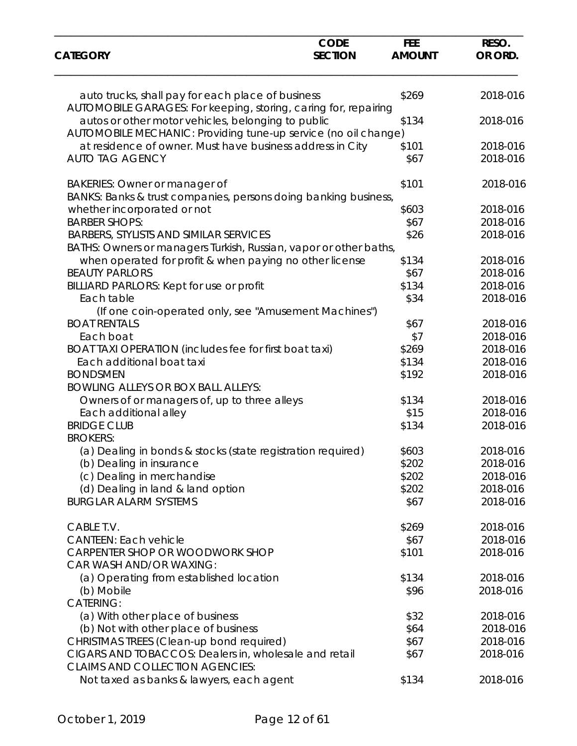| <b>CATEGORY</b>                                                                                                      | <b>CODE</b><br><b>SECTION</b> | <b>FEE</b><br><b>AMOUNT</b> | RESO.<br>OR ORD. |
|----------------------------------------------------------------------------------------------------------------------|-------------------------------|-----------------------------|------------------|
|                                                                                                                      |                               |                             |                  |
| auto trucks, shall pay for each place of business<br>AUTOMOBILE GARAGES: For keeping, storing, caring for, repairing |                               | \$269                       | 2018-016         |
| autos or other motor vehicles, belonging to public<br>AUTOMOBILE MECHANIC: Providing tune-up service (no oil change) |                               | \$134                       | 2018-016         |
| at residence of owner. Must have business address in City                                                            |                               | \$101                       | 2018-016         |
| <b>AUTO TAG AGENCY</b>                                                                                               |                               | \$67                        | 2018-016         |
| <b>BAKERIES: Owner or manager of</b>                                                                                 |                               | \$101                       | 2018-016         |
| BANKS: Banks & trust companies, persons doing banking business,                                                      |                               |                             |                  |
| whether incorporated or not                                                                                          |                               | \$603                       | 2018-016         |
| <b>BARBER SHOPS:</b>                                                                                                 |                               | \$67                        | 2018-016         |
| <b>BARBERS, STYLISTS AND SIMILAR SERVICES</b><br>BATHS: Owners or managers Turkish, Russian, vapor or other baths,   |                               | \$26                        | 2018-016         |
| when operated for profit & when paying no other license                                                              |                               | \$134                       | 2018-016         |
| <b>BEAUTY PARLORS</b>                                                                                                |                               | \$67                        | 2018-016         |
| BILLIARD PARLORS: Kept for use or profit                                                                             |                               | \$134                       | 2018-016         |
| Each table                                                                                                           |                               | \$34                        | 2018-016         |
| (If one coin-operated only, see "Amusement Machines")                                                                |                               |                             |                  |
| <b>BOAT RENTALS</b>                                                                                                  |                               | \$67                        | 2018-016         |
| Each boat                                                                                                            |                               | \$7                         | 2018-016         |
| BOAT TAXI OPERATION (includes fee for first boat taxi)                                                               |                               | \$269                       | 2018-016         |
| Each additional boat taxi                                                                                            |                               | \$134                       | 2018-016         |
| <b>BONDSMEN</b>                                                                                                      |                               | \$192                       | 2018-016         |
| <b>BOWLING ALLEYS OR BOX BALL ALLEYS:</b>                                                                            |                               |                             |                  |
| Owners of or managers of, up to three alleys                                                                         |                               | \$134                       | 2018-016         |
| Each additional alley                                                                                                |                               | \$15                        | 2018-016         |
| <b>BRIDGE CLUB</b><br><b>BROKERS:</b>                                                                                |                               | \$134                       | 2018-016         |
| (a) Dealing in bonds & stocks (state registration required)                                                          |                               | \$603                       | 2018-016         |
| (b) Dealing in insurance                                                                                             |                               | \$202                       | 2018-016         |
| (c) Dealing in merchandise                                                                                           |                               | \$202                       | 2018-016         |
| (d) Dealing in land & land option                                                                                    |                               | \$202                       | 2018-016         |
| <b>BURGLAR ALARM SYSTEMS</b>                                                                                         |                               | \$67                        | 2018-016         |
| CABLE T.V.                                                                                                           |                               | \$269                       | 2018-016         |
| <b>CANTEEN: Each vehicle</b>                                                                                         |                               | \$67                        | 2018-016         |
| CARPENTER SHOP OR WOODWORK SHOP<br>CAR WASH AND/OR WAXING:                                                           |                               | \$101                       | 2018-016         |
| (a) Operating from established location                                                                              |                               | \$134                       | 2018-016         |
| (b) Mobile                                                                                                           |                               | \$96                        | 2018-016         |
| <b>CATERING:</b>                                                                                                     |                               |                             |                  |
| (a) With other place of business                                                                                     |                               | \$32                        | 2018-016         |
| (b) Not with other place of business                                                                                 |                               | \$64                        | 2018-016         |
| CHRISTMAS TREES (Clean-up bond required)                                                                             |                               | \$67                        | 2018-016         |
| CIGARS AND TOBACCOS: Dealers in, wholesale and retail<br><b>CLAIMS AND COLLECTION AGENCIES:</b>                      |                               | \$67                        | 2018-016         |
| Not taxed as banks & lawyers, each agent                                                                             |                               | \$134                       | 2018-016         |
|                                                                                                                      |                               |                             |                  |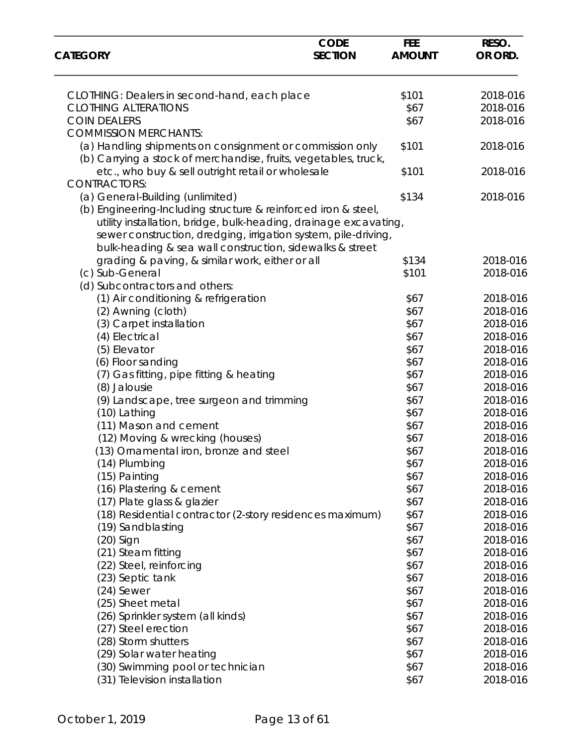| <b>CATEGORY</b>                                                  | <b>CODE</b><br><b>SECTION</b> | <b>FEE</b><br><b>AMOUNT</b> | RESO.<br>OR ORD. |
|------------------------------------------------------------------|-------------------------------|-----------------------------|------------------|
|                                                                  |                               |                             |                  |
| CLOTHING: Dealers in second-hand, each place                     |                               | \$101                       | 2018-016         |
| <b>CLOTHING ALTERATIONS</b>                                      |                               | \$67                        | 2018-016         |
| <b>COIN DEALERS</b>                                              |                               | \$67                        | 2018-016         |
| <b>COMMISSION MERCHANTS:</b>                                     |                               |                             |                  |
| (a) Handling shipments on consignment or commission only         |                               | \$101                       | 2018-016         |
| (b) Carrying a stock of merchandise, fruits, vegetables, truck,  |                               |                             |                  |
| etc., who buy & sell outright retail or wholesale                |                               | \$101                       | 2018-016         |
| <b>CONTRACTORS:</b>                                              |                               |                             |                  |
| (a) General-Building (unlimited)                                 |                               | \$134                       | 2018-016         |
| (b) Engineering-Including structure & reinforced iron & steel,   |                               |                             |                  |
| utility installation, bridge, bulk-heading, drainage excavating, |                               |                             |                  |
| sewer construction, dredging, irrigation system, pile-driving,   |                               |                             |                  |
| bulk-heading & sea wall construction, sidewalks & street         |                               |                             |                  |
| grading & paving, & similar work, either or all                  |                               | \$134                       | 2018-016         |
| (c) Sub-General                                                  |                               | \$101                       | 2018-016         |
| (d) Subcontractors and others:                                   |                               |                             |                  |
| (1) Air conditioning & refrigeration                             |                               | \$67                        | 2018-016         |
| (2) Awning (cloth)                                               |                               | \$67                        | 2018-016         |
| (3) Carpet installation                                          |                               | \$67                        | 2018-016         |
|                                                                  |                               | \$67                        | 2018-016         |
| (4) Electrical                                                   |                               |                             |                  |
| (5) Elevator                                                     |                               | \$67                        | 2018-016         |
| (6) Floor sanding                                                |                               | \$67                        | 2018-016         |
| (7) Gas fitting, pipe fitting & heating                          |                               | \$67                        | 2018-016         |
| (8) Jalousie                                                     |                               | \$67                        | 2018-016         |
| (9) Landscape, tree surgeon and trimming                         |                               | \$67                        | 2018-016         |
| (10) Lathing                                                     |                               | \$67                        | 2018-016         |
| (11) Mason and cement                                            |                               | \$67                        | 2018-016         |
| (12) Moving & wrecking (houses)                                  |                               | \$67                        | 2018-016         |
| (13) Ornamental iron, bronze and steel                           |                               | \$67                        | 2018-016         |
| (14) Plumbing                                                    |                               | \$67                        | 2018-016         |
| (15) Painting                                                    |                               | \$67                        | 2018-016         |
| (16) Plastering & cement                                         |                               | \$67                        | 2018-016         |
| (17) Plate glass & glazier                                       |                               | \$67                        | 2018-016         |
| (18) Residential contractor (2-story residences maximum)         |                               | \$67                        | 2018-016         |
| (19) Sandblasting                                                |                               | \$67                        | 2018-016         |
| $(20)$ Sign                                                      |                               | \$67                        | 2018-016         |
| (21) Steam fitting                                               |                               | \$67                        | 2018-016         |
| (22) Steel, reinforcing                                          |                               | \$67                        | 2018-016         |
| (23) Septic tank                                                 |                               | \$67                        | 2018-016         |
| (24) Sewer                                                       |                               | \$67                        | 2018-016         |
| (25) Sheet metal                                                 |                               | \$67                        | 2018-016         |
| (26) Sprinkler system (all kinds)                                |                               | \$67                        | 2018-016         |
| (27) Steel erection                                              |                               | \$67                        | 2018-016         |
| (28) Storm shutters                                              |                               | \$67                        | 2018-016         |
| (29) Solar water heating                                         |                               | \$67                        | 2018-016         |
| (30) Swimming pool or technician                                 |                               | \$67                        | 2018-016         |
| (31) Television installation                                     |                               | \$67                        | 2018-016         |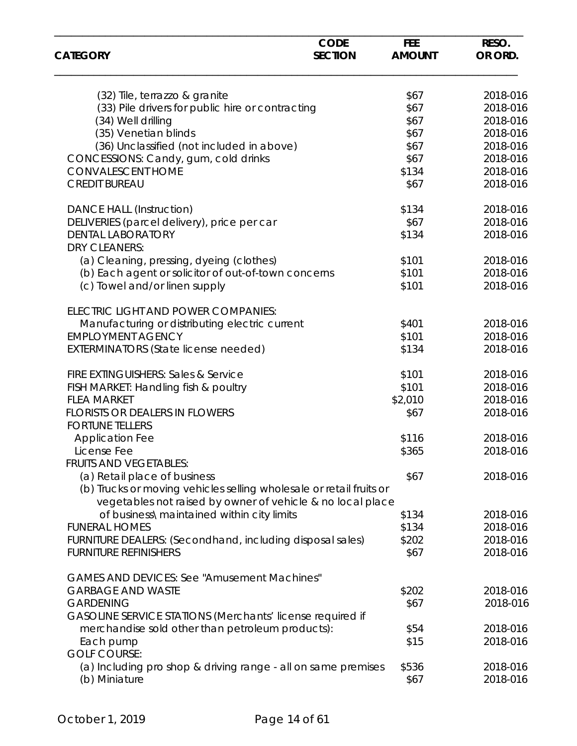| <b>CATEGORY</b>                                                                                                                   | <b>CODE</b><br><b>SECTION</b> | <b>FEE</b><br><b>AMOUNT</b> | RESO.<br>OR ORD. |
|-----------------------------------------------------------------------------------------------------------------------------------|-------------------------------|-----------------------------|------------------|
|                                                                                                                                   |                               |                             |                  |
| (32) Tile, terrazzo & granite                                                                                                     |                               | \$67                        | 2018-016         |
| (33) Pile drivers for public hire or contracting                                                                                  |                               | \$67                        | 2018-016         |
| (34) Well drilling                                                                                                                |                               | \$67                        | 2018-016         |
| (35) Venetian blinds                                                                                                              |                               | \$67                        | 2018-016         |
| (36) Unclassified (not included in above)                                                                                         |                               | \$67                        | 2018-016         |
| CONCESSIONS: Candy, gum, cold drinks                                                                                              |                               | \$67                        | 2018-016         |
| <b>CONVALESCENT HOME</b>                                                                                                          |                               | \$134                       | 2018-016         |
| <b>CREDIT BUREAU</b>                                                                                                              |                               | \$67                        | 2018-016         |
| <b>DANCE HALL (Instruction)</b>                                                                                                   |                               | \$134                       | 2018-016         |
| DELIVERIES (parcel delivery), price per car                                                                                       |                               | \$67                        | 2018-016         |
| <b>DENTAL LABORATORY</b><br><b>DRY CLEANERS:</b>                                                                                  |                               | \$134                       | 2018-016         |
| (a) Cleaning, pressing, dyeing (clothes)                                                                                          |                               | \$101                       | 2018-016         |
| (b) Each agent or solicitor of out-of-town concerns                                                                               |                               | \$101                       | 2018-016         |
| (c) Towel and/or linen supply                                                                                                     |                               | \$101                       | 2018-016         |
| ELECTRIC LIGHT AND POWER COMPANIES:                                                                                               |                               |                             |                  |
| Manufacturing or distributing electric current                                                                                    |                               | \$401                       | 2018-016         |
| <b>EMPLOYMENT AGENCY</b>                                                                                                          |                               | \$101                       | 2018-016         |
| <b>EXTERMINATORS (State license needed)</b>                                                                                       |                               | \$134                       | 2018-016         |
| <b>FIRE EXTINGUISHERS: Sales &amp; Service</b>                                                                                    |                               | \$101                       | 2018-016         |
| FISH MARKET: Handling fish & poultry                                                                                              |                               | \$101                       | 2018-016         |
| <b>FLEA MARKET</b>                                                                                                                |                               | \$2,010                     | 2018-016         |
| <b>FLORISTS OR DEALERS IN FLOWERS</b>                                                                                             |                               | \$67                        | 2018-016         |
| <b>FORTUNE TELLERS</b>                                                                                                            |                               |                             |                  |
| <b>Application Fee</b>                                                                                                            |                               | \$116                       | 2018-016         |
| License Fee                                                                                                                       |                               | \$365                       | 2018-016         |
| <b>FRUITS AND VEGETABLES:</b>                                                                                                     |                               |                             |                  |
| (a) Retail place of business                                                                                                      |                               | \$67                        | 2018-016         |
| (b) Trucks or moving vehicles selling wholesale or retail fruits or<br>vegetables not raised by owner of vehicle & no local place |                               |                             |                  |
| of business\maintained within city limits                                                                                         |                               | \$134                       | 2018-016         |
| <b>FUNERAL HOMES</b>                                                                                                              |                               | \$134                       | 2018-016         |
| FURNITURE DEALERS: (Secondhand, including disposal sales)                                                                         |                               | \$202                       | 2018-016         |
| <b>FURNITURE REFINISHERS</b>                                                                                                      |                               | \$67                        | 2018-016         |
| <b>GAMES AND DEVICES: See "Amusement Machines"</b>                                                                                |                               |                             |                  |
| <b>GARBAGE AND WASTE</b>                                                                                                          |                               | \$202                       | 2018-016         |
| <b>GARDENING</b>                                                                                                                  |                               | \$67                        | 2018-016         |
| GASOLINE SERVICE STATIONS (Merchants' license required if                                                                         |                               |                             |                  |
| merchandise sold other than petroleum products):                                                                                  |                               | \$54                        | 2018-016         |
| Each pump                                                                                                                         |                               | \$15                        | 2018-016         |
| <b>GOLF COURSE:</b>                                                                                                               |                               |                             |                  |
| (a) Including pro shop & driving range - all on same premises                                                                     |                               | \$536                       | 2018-016         |
| (b) Miniature                                                                                                                     |                               | \$67                        | 2018-016         |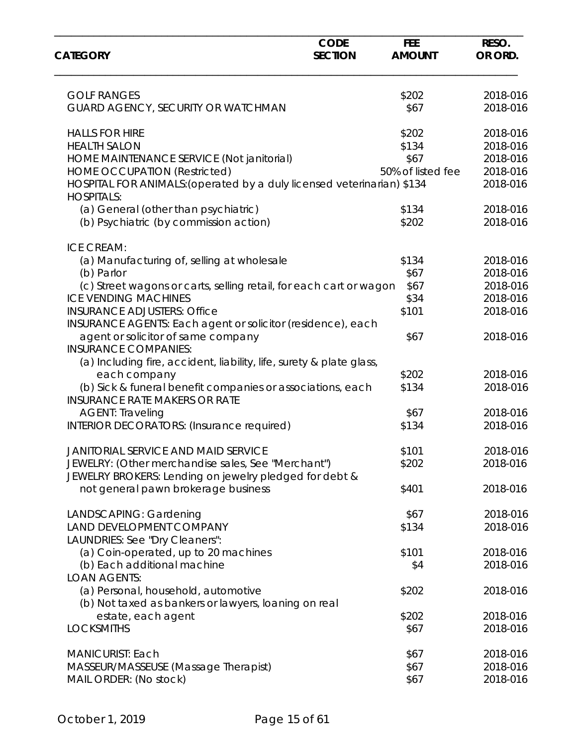| <b>CATEGORY</b>                                                                                    | <b>CODE</b><br><b>SECTION</b> | <b>FEE</b><br><b>AMOUNT</b> | RESO.<br>OR ORD. |
|----------------------------------------------------------------------------------------------------|-------------------------------|-----------------------------|------------------|
|                                                                                                    |                               |                             |                  |
| <b>GOLF RANGES</b>                                                                                 |                               | \$202                       | 2018-016         |
| GUARD AGENCY, SECURITY OR WATCHMAN                                                                 |                               | \$67                        | 2018-016         |
| <b>HALLS FOR HIRE</b>                                                                              |                               | \$202                       | 2018-016         |
| <b>HEALTH SALON</b>                                                                                |                               | \$134                       | 2018-016         |
| HOME MAINTENANCE SERVICE (Not janitorial)                                                          |                               | \$67                        | 2018-016         |
| <b>HOME OCCUPATION (Restricted)</b>                                                                |                               | 50% of listed fee           | 2018-016         |
| HOSPITAL FOR ANIMALS: (operated by a duly licensed veterinarian) \$134<br><b>HOSPITALS:</b>        |                               |                             | 2018-016         |
| (a) General (other than psychiatric)                                                               |                               | \$134                       | 2018-016         |
| (b) Psychiatric (by commission action)                                                             |                               | \$202                       | 2018-016         |
| <b>ICE CREAM:</b>                                                                                  |                               |                             |                  |
| (a) Manufacturing of, selling at wholesale                                                         |                               | \$134                       | 2018-016         |
| (b) Parlor                                                                                         |                               | \$67                        | 2018-016         |
| (c) Street wagons or carts, selling retail, for each cart or wagon                                 |                               | \$67                        | 2018-016         |
| <b>ICE VENDING MACHINES</b>                                                                        |                               | \$34                        | 2018-016         |
| <b>INSURANCE ADJUSTERS: Office</b><br>INSURANCE AGENTS: Each agent or solicitor (residence), each  |                               | \$101                       | 2018-016         |
| agent or solicitor of same company                                                                 |                               | \$67                        | 2018-016         |
| <b>INSURANCE COMPANIES:</b>                                                                        |                               |                             |                  |
| (a) Including fire, accident, liability, life, surety & plate glass,                               |                               |                             |                  |
| each company                                                                                       |                               | \$202                       | 2018-016         |
| (b) Sick & funeral benefit companies or associations, each<br><b>INSURANCE RATE MAKERS OR RATE</b> |                               | \$134                       | 2018-016         |
| <b>AGENT: Traveling</b>                                                                            |                               | \$67                        | 2018-016         |
| <b>INTERIOR DECORATORS: (Insurance required)</b>                                                   |                               | \$134                       | 2018-016         |
| <b>JANITORIAL SERVICE AND MAID SERVICE</b>                                                         |                               | \$101                       | 2018-016         |
| JEWELRY: (Other merchandise sales, See "Merchant")                                                 |                               | \$202                       | 2018-016         |
| JEWELRY BROKERS: Lending on jewelry pledged for debt &                                             |                               |                             |                  |
| not general pawn brokerage business                                                                |                               | \$401                       | 2018-016         |
| LANDSCAPING: Gardening                                                                             |                               | \$67                        | 2018-016         |
| LAND DEVELOPMENT COMPANY<br>LAUNDRIES: See "Dry Cleaners":                                         |                               | \$134                       | 2018-016         |
| (a) Coin-operated, up to 20 machines                                                               |                               | \$101                       | 2018-016         |
| (b) Each additional machine                                                                        |                               | \$4                         | 2018-016         |
| <b>LOAN AGENTS:</b>                                                                                |                               |                             |                  |
| (a) Personal, household, automotive                                                                |                               | \$202                       | 2018-016         |
| (b) Not taxed as bankers or lawyers, loaning on real                                               |                               |                             |                  |
| estate, each agent                                                                                 |                               | \$202                       | 2018-016         |
| <b>LOCKSMITHS</b>                                                                                  |                               | \$67                        | 2018-016         |
| <b>MANICURIST: Each</b>                                                                            |                               | \$67                        | 2018-016         |
| MASSEUR/MASSEUSE (Massage Therapist)                                                               |                               | \$67                        | 2018-016         |
| MAIL ORDER: (No stock)                                                                             |                               | \$67                        | 2018-016         |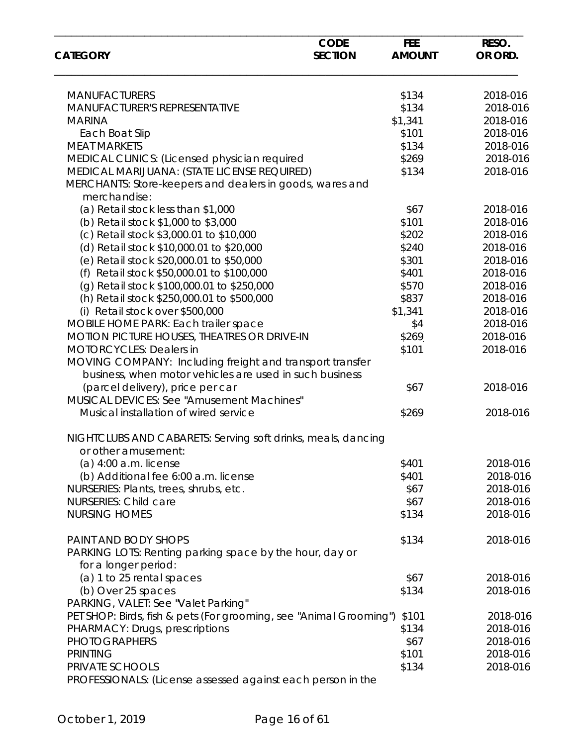| <b>CATEGORY</b>                                                                                                     | <b>CODE</b><br><b>SECTION</b> | <b>FEE</b><br><b>AMOUNT</b> | RESO.<br>OR ORD. |
|---------------------------------------------------------------------------------------------------------------------|-------------------------------|-----------------------------|------------------|
| <b>MANUFACTURERS</b>                                                                                                |                               | \$134                       | 2018-016         |
| MANUFACTURER'S REPRESENTATIVE                                                                                       |                               | \$134                       | 2018-016         |
| <b>MARINA</b>                                                                                                       |                               | \$1,341                     | 2018-016         |
| Each Boat Slip                                                                                                      |                               | \$101                       | 2018-016         |
| <b>MEAT MARKETS</b>                                                                                                 |                               | \$134                       | 2018-016         |
| MEDICAL CLINICS: (Licensed physician required                                                                       |                               | \$269                       | 2018-016         |
| MEDICAL MARIJUANA: (STATE LICENSE REQUIRED)                                                                         |                               | \$134                       | 2018-016         |
| MERCHANTS: Store-keepers and dealers in goods, wares and<br>merchandise:                                            |                               |                             |                  |
| (a) Retail stock less than \$1,000                                                                                  |                               | \$67                        | 2018-016         |
| (b) Retail stock \$1,000 to \$3,000                                                                                 |                               | \$101                       | 2018-016         |
| (c) Retail stock \$3,000.01 to \$10,000                                                                             |                               | \$202                       | 2018-016         |
| (d) Retail stock \$10,000.01 to \$20,000                                                                            |                               | \$240                       | 2018-016         |
| (e) Retail stock \$20,000.01 to \$50,000                                                                            |                               | \$301                       | 2018-016         |
| (f) Retail stock \$50,000.01 to \$100,000                                                                           |                               | \$401                       | 2018-016         |
| (g) Retail stock \$100,000.01 to \$250,000                                                                          |                               | \$570                       | 2018-016         |
| (h) Retail stock \$250,000.01 to \$500,000                                                                          |                               | \$837                       | 2018-016         |
| (i) Retail stock over \$500,000                                                                                     |                               | \$1,341                     | 2018-016         |
| MOBILE HOME PARK: Each trailer space                                                                                |                               | \$4                         | 2018-016         |
| MOTION PICTURE HOUSES, THEATRES OR DRIVE-IN                                                                         |                               | \$269                       | 2018-016         |
| <b>MOTORCYCLES: Dealers in</b>                                                                                      |                               | \$101                       | 2018-016         |
| MOVING COMPANY: Including freight and transport transfer<br>business, when motor vehicles are used in such business |                               |                             |                  |
| (parcel delivery), price per car                                                                                    |                               | \$67                        | 2018-016         |
| MUSICAL DEVICES: See "Amusement Machines"                                                                           |                               |                             |                  |
| Musical installation of wired service                                                                               |                               | \$269                       | 2018-016         |
| NIGHTCLUBS AND CABARETS: Serving soft drinks, meals, dancing<br>or other amusement:                                 |                               |                             |                  |
| $(a)$ 4:00 a.m. license                                                                                             |                               | \$401                       | 2018-016         |
| (b) Additional fee 6:00 a.m. license                                                                                |                               | \$401                       | 2018-016         |
| NURSERIES: Plants, trees, shrubs, etc.                                                                              |                               | \$67                        | 2018-016         |
| <b>NURSERIES: Child care</b>                                                                                        |                               | \$67                        | 2018-016         |
| <b>NURSING HOMES</b>                                                                                                |                               | \$134                       | 2018-016         |
| PAINT AND BODY SHOPS                                                                                                |                               | \$134                       | 2018-016         |
| PARKING LOTS: Renting parking space by the hour, day or<br>for a longer period:                                     |                               |                             |                  |
| (a) 1 to 25 rental spaces                                                                                           |                               | \$67                        | 2018-016         |
| (b) Over 25 spaces                                                                                                  |                               | \$134                       | 2018-016         |
| PARKING, VALET: See "Valet Parking"                                                                                 |                               |                             |                  |
| PET SHOP: Birds, fish & pets (For grooming, see "Animal Grooming")                                                  |                               | \$101                       | 2018-016         |
| PHARMACY: Drugs, prescriptions                                                                                      |                               | \$134                       | 2018-016         |
| <b>PHOTOGRAPHERS</b>                                                                                                |                               | \$67                        | 2018-016         |
| <b>PRINTING</b>                                                                                                     |                               | \$101                       | 2018-016         |
| PRIVATE SCHOOLS                                                                                                     |                               | \$134                       | 2018-016         |
| PROFESSIONALS: (License assessed against each person in the                                                         |                               |                             |                  |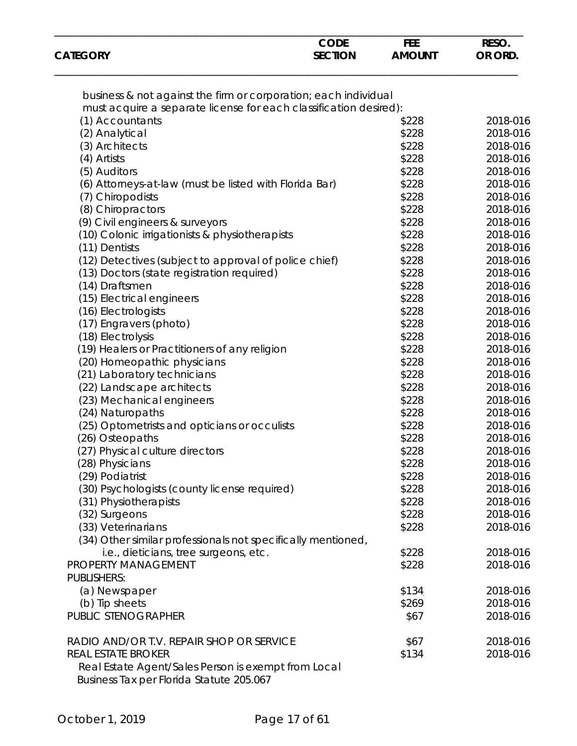| <b>CODE</b><br><b>CATEGORY</b><br><b>SECTION</b>                                                | <b>FEE</b><br><b>AMOUNT</b> | RESO.<br>OR ORD. |
|-------------------------------------------------------------------------------------------------|-----------------------------|------------------|
|                                                                                                 |                             |                  |
| business & not against the firm or corporation; each individual                                 |                             |                  |
| must acquire a separate license for each classification desired):                               |                             |                  |
| (1) Accountants                                                                                 | \$228                       | 2018-016         |
| (2) Analytical                                                                                  | \$228                       | 2018-016         |
| (3) Architects                                                                                  | \$228                       | 2018-016         |
| (4) Artists                                                                                     | \$228                       | 2018-016         |
| (5) Auditors                                                                                    | \$228                       | 2018-016         |
| (6) Attorneys-at-law (must be listed with Florida Bar)                                          | \$228                       | 2018-016         |
| (7) Chiropodists                                                                                | \$228                       | 2018-016         |
| (8) Chiropractors                                                                               | \$228                       | 2018-016         |
| (9) Civil engineers & surveyors                                                                 | \$228                       | 2018-016         |
|                                                                                                 | \$228                       | 2018-016         |
| (10) Colonic irrigationists & physiotherapists                                                  | \$228                       | 2018-016         |
| (11) Dentists                                                                                   |                             |                  |
| (12) Detectives (subject to approval of police chief)                                           | \$228                       | 2018-016         |
| (13) Doctors (state registration required)                                                      | \$228                       | 2018-016         |
| (14) Draftsmen                                                                                  | \$228                       | 2018-016         |
| (15) Electrical engineers                                                                       | \$228                       | 2018-016         |
| (16) Electrologists                                                                             | \$228                       | 2018-016         |
| (17) Engravers (photo)                                                                          | \$228                       | 2018-016         |
| (18) Electrolysis                                                                               | \$228                       | 2018-016         |
| (19) Healers or Practitioners of any religion                                                   | \$228                       | 2018-016         |
| (20) Homeopathic physicians                                                                     | \$228                       | 2018-016         |
| (21) Laboratory technicians                                                                     | \$228                       | 2018-016         |
| (22) Landscape architects                                                                       | \$228                       | 2018-016         |
| (23) Mechanical engineers                                                                       | \$228                       | 2018-016         |
| (24) Naturopaths                                                                                | \$228                       | 2018-016         |
| (25) Optometrists and opticians or occulists                                                    | \$228                       | 2018-016         |
| (26) Osteopaths                                                                                 | \$228                       | 2018-016         |
| (27) Physical culture directors                                                                 | \$228                       | 2018-016         |
| (28) Physicians                                                                                 | \$228                       | 2018-016         |
| (29) Podiatrist                                                                                 | \$228                       | 2018-016         |
| (30) Psychologists (county license required)                                                    | \$228                       | 2018-016         |
| (31) Physiotherapists                                                                           | \$228                       | 2018-016         |
| (32) Surgeons                                                                                   | \$228                       | 2018-016         |
| (33) Veterinarians                                                                              | \$228                       | 2018-016         |
|                                                                                                 |                             |                  |
| (34) Other similar professionals not specifically mentioned,                                    |                             |                  |
| i.e., dieticians, tree surgeons, etc.                                                           | \$228                       | 2018-016         |
| PROPERTY MANAGEMENT                                                                             | \$228                       | 2018-016         |
| <b>PUBLISHERS:</b>                                                                              |                             |                  |
| (a) Newspaper                                                                                   | \$134                       | 2018-016         |
| (b) Tip sheets                                                                                  | \$269                       | 2018-016         |
| PUBLIC STENOGRAPHER                                                                             | \$67                        | 2018-016         |
| RADIO AND/OR T.V. REPAIR SHOP OR SERVICE                                                        | \$67                        | 2018-016         |
| <b>REAL ESTATE BROKER</b>                                                                       | \$134                       | 2018-016         |
| Real Estate Agent/Sales Person is exempt from Local<br>Business Tax per Florida Statute 205.067 |                             |                  |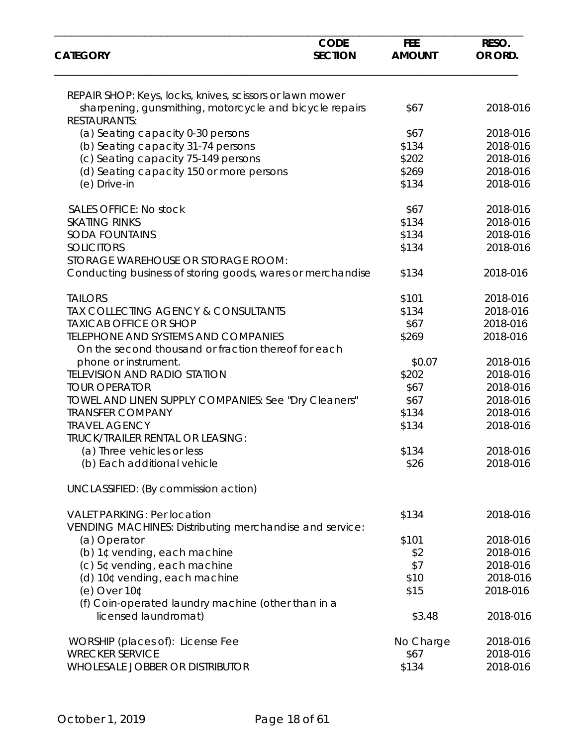| <b>CATEGORY</b>                                                                                   | <b>CODE</b><br><b>SECTION</b> | <b>FEE</b><br><b>AMOUNT</b> | RESO.<br>OR ORD. |
|---------------------------------------------------------------------------------------------------|-------------------------------|-----------------------------|------------------|
| REPAIR SHOP: Keys, locks, knives, scissors or lawn mower                                          |                               |                             |                  |
| sharpening, gunsmithing, motorcycle and bicycle repairs<br><b>RESTAURANTS:</b>                    |                               | \$67                        | 2018-016         |
| (a) Seating capacity 0-30 persons                                                                 |                               | \$67                        | 2018-016         |
| (b) Seating capacity 31-74 persons                                                                |                               | \$134                       | 2018-016         |
| (c) Seating capacity 75-149 persons                                                               |                               | \$202                       | 2018-016         |
| (d) Seating capacity 150 or more persons                                                          |                               | \$269                       | 2018-016         |
| (e) Drive-in                                                                                      |                               | \$134                       | 2018-016         |
| <b>SALES OFFICE: No stock</b>                                                                     |                               | \$67                        | 2018-016         |
| <b>SKATING RINKS</b>                                                                              |                               | \$134                       | 2018-016         |
| <b>SODA FOUNTAINS</b>                                                                             |                               | \$134                       | 2018-016         |
| <b>SOLICITORS</b>                                                                                 |                               | \$134                       | 2018-016         |
| STORAGE WAREHOUSE OR STORAGE ROOM:                                                                |                               |                             |                  |
| Conducting business of storing goods, wares or merchandise                                        |                               | \$134                       | 2018-016         |
| <b>TAILORS</b>                                                                                    |                               | \$101                       | 2018-016         |
| TAX COLLECTING AGENCY & CONSULTANTS                                                               |                               | \$134                       | 2018-016         |
| <b>TAXICAB OFFICE OR SHOP</b>                                                                     |                               | \$67                        | 2018-016         |
| <b>TELEPHONE AND SYSTEMS AND COMPANIES</b><br>On the second thousand or fraction thereof for each |                               | \$269                       | 2018-016         |
| phone or instrument.                                                                              |                               | \$0.07                      | 2018-016         |
| <b>TELEVISION AND RADIO STATION</b>                                                               |                               | \$202                       | 2018-016         |
| <b>TOUR OPERATOR</b>                                                                              |                               | \$67                        | 2018-016         |
| TOWEL AND LINEN SUPPLY COMPANIES: See "Dry Cleaners"                                              |                               | \$67                        | 2018-016         |
| <b>TRANSFER COMPANY</b>                                                                           |                               | \$134                       | 2018-016         |
| <b>TRAVEL AGENCY</b>                                                                              |                               | \$134                       | 2018-016         |
| <b>TRUCK/TRAILER RENTAL OR LEASING:</b>                                                           |                               |                             |                  |
| (a) Three vehicles or less                                                                        |                               | \$134                       | 2018-016         |
| (b) Each additional vehicle                                                                       |                               | \$26                        | 2018-016         |
| UNCLASSIFIED: (By commission action)                                                              |                               |                             |                  |
| <b>VALET PARKING: Per location</b>                                                                |                               | \$134                       | 2018-016         |
| VENDING MACHINES: Distributing merchandise and service:                                           |                               |                             |                  |
| (a) Operator                                                                                      |                               | \$101                       | 2018-016         |
| (b) 1¢ vending, each machine                                                                      |                               | \$2                         | 2018-016         |
| (c) 5¢ vending, each machine                                                                      |                               | \$7                         | 2018-016         |
| (d) 10¢ vending, each machine                                                                     |                               | \$10                        | 2018-016         |
| (e) Over $10°$                                                                                    |                               | \$15                        | 2018-016         |
| (f) Coin-operated laundry machine (other than in a                                                |                               |                             |                  |
| licensed laundromat)                                                                              |                               | \$3.48                      | 2018-016         |
| WORSHIP (places of): License Fee                                                                  |                               | No Charge                   | 2018-016         |
| <b>WRECKER SERVICE</b>                                                                            |                               | \$67                        | 2018-016         |
| WHOLESALE JOBBER OR DISTRIBUTOR                                                                   |                               | \$134                       | 2018-016         |